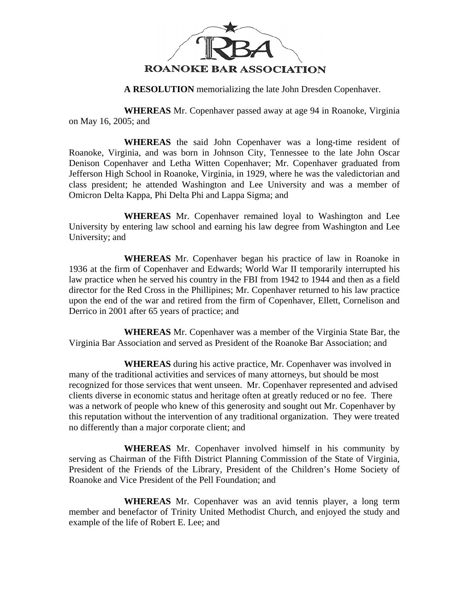

**A RESOLUTION** memorializing the late John Dresden Copenhaver.

**WHEREAS** Mr. Copenhaver passed away at age 94 in Roanoke, Virginia on May 16, 2005; and

**WHEREAS** the said John Copenhaver was a long-time resident of Roanoke, Virginia, and was born in Johnson City, Tennessee to the late John Oscar Denison Copenhaver and Letha Witten Copenhaver; Mr. Copenhaver graduated from Jefferson High School in Roanoke, Virginia, in 1929, where he was the valedictorian and class president; he attended Washington and Lee University and was a member of Omicron Delta Kappa, Phi Delta Phi and Lappa Sigma; and

**WHEREAS** Mr. Copenhaver remained loyal to Washington and Lee University by entering law school and earning his law degree from Washington and Lee University; and

**WHEREAS** Mr. Copenhaver began his practice of law in Roanoke in 1936 at the firm of Copenhaver and Edwards; World War II temporarily interrupted his law practice when he served his country in the FBI from 1942 to 1944 and then as a field director for the Red Cross in the Phillipines; Mr. Copenhaver returned to his law practice upon the end of the war and retired from the firm of Copenhaver, Ellett, Cornelison and Derrico in 2001 after 65 years of practice; and

**WHEREAS** Mr. Copenhaver was a member of the Virginia State Bar, the Virginia Bar Association and served as President of the Roanoke Bar Association; and

**WHEREAS** during his active practice, Mr. Copenhaver was involved in many of the traditional activities and services of many attorneys, but should be most recognized for those services that went unseen. Mr. Copenhaver represented and advised clients diverse in economic status and heritage often at greatly reduced or no fee. There was a network of people who knew of this generosity and sought out Mr. Copenhaver by this reputation without the intervention of any traditional organization. They were treated no differently than a major corporate client; and

**WHEREAS** Mr. Copenhaver involved himself in his community by serving as Chairman of the Fifth District Planning Commission of the State of Virginia, President of the Friends of the Library, President of the Children's Home Society of Roanoke and Vice President of the Pell Foundation; and

**WHEREAS** Mr. Copenhaver was an avid tennis player, a long term member and benefactor of Trinity United Methodist Church, and enjoyed the study and example of the life of Robert E. Lee; and